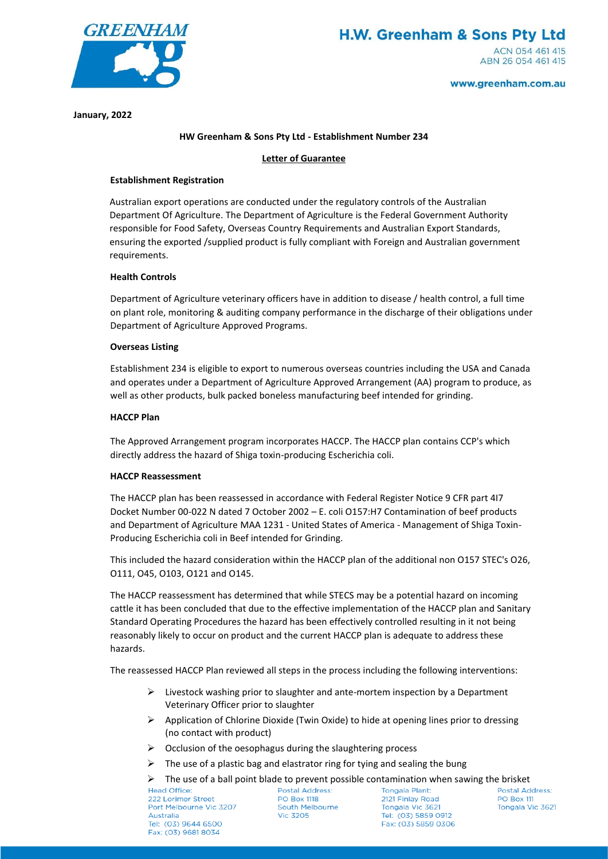

**January, 2022**

# **HW Greenham & Sons Pty Ltd - Establishment Number 234**

### **Letter of Guarantee**

### **Establishment Registration**

Australian export operations are conducted under the regulatory controls of the Australian Department Of Agriculture. The Department of Agriculture is the Federal Government Authority responsible for Food Safety, Overseas Country Requirements and Australian Export Standards, ensuring the exported /supplied product is fully compliant with Foreign and Australian government requirements.

### **Health Controls**

Department of Agriculture veterinary officers have in addition to disease / health control, a full time on plant role, monitoring & auditing company performance in the discharge of their obligations under Department of Agriculture Approved Programs.

### **Overseas Listing**

Establishment 234 is eligible to export to numerous overseas countries including the USA and Canada and operates under a Department of Agriculture Approved Arrangement (AA) program to produce, as well as other products, bulk packed boneless manufacturing beef intended for grinding.

### **HACCP Plan**

The Approved Arrangement program incorporates HACCP. The HACCP plan contains CCP's which directly address the hazard of Shiga toxin-producing Escherichia coli.

# **HACCP Reassessment**

The HACCP plan has been reassessed in accordance with Federal Register Notice 9 CFR part 4I7 Docket Number 00-022 N dated 7 October 2002 – E. coli O157:H7 Contamination of beef products and Department of Agriculture MAA 1231 - United States of America - Management of Shiga Toxin-Producing Escherichia coli in Beef intended for Grinding.

This included the hazard consideration within the HACCP plan of the additional non O157 STEC's O26, O111, O45, O103, O121 and O145.

The HACCP reassessment has determined that while STECS may be a potential hazard on incoming cattle it has been concluded that due to the effective implementation of the HACCP plan and Sanitary Standard Operating Procedures the hazard has been effectively controlled resulting in it not being reasonably likely to occur on product and the current HACCP plan is adequate to address these hazards.

The reassessed HACCP Plan reviewed all steps in the process including the following interventions:

- $\triangleright$  Livestock washing prior to slaughter and ante-mortem inspection by a Department Veterinary Officer prior to slaughter
- $\triangleright$  Application of Chlorine Dioxide (Twin Oxide) to hide at opening lines prior to dressing (no contact with product)
- $\triangleright$  Occlusion of the oesophagus during the slaughtering process
- $\triangleright$  The use of a plastic bag and elastrator ring for tying and sealing the bung
- $\triangleright$  The use of a ball point blade to prevent possible contamination when sawing the brisket<br>Postal Address: Tongala Plant: Postal Address Postal Address

222 Lorimer Street Port Melbourne Vic 3207 Australia Tel: (03) 9644 6500 Fax: (03) 9681 8034

**PO Box 1118** South Melbourne **Vic 3205** 

**Tongala Plant:** 2121 Finlay Road Tongala Vic 3621 Tel: (03) 5859 0912 Fax: (03) 5859 0306

**Postal Address: PO Box 111** Tongala Vic 3621